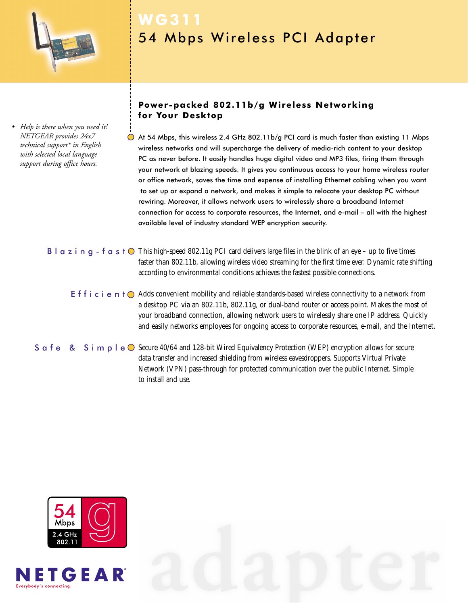

*• Help is there when you need it! NETGEAR provides 24x7 technical support\* in English with selected local language support during office hours.*

# **WG311** 54 Mbps Wireless PCI Adapter

# **Power-packed 802.11b/g Wireless Networking for Your Desktop**

At 54 Mbps, this wireless 2.4 GHz 802.11b/g PCI card is much faster than existing 11 Mbps wireless networks and will supercharge the delivery of media-rich content to your desktop PC as never before. It easily handles huge digital video and MP3 files, firing them through your network at blazing speeds. It gives you continuous access to your home wireless router or office network, saves the time and expense of installing Ethernet cabling when you want to set up or expand a network, and makes it simple to relocate your desktop PC without rewiring. Moreover, it allows network users to wirelessly share a broadband Internet connection for access to corporate resources, the Internet, and e-mail – all with the highest available level of industry standard WEP encryption security.

# **B** l  $\alpha$  z i  $\alpha$  g - f  $\alpha$  s t  $\odot$  This high-speed 802.11g PCI card delivers large files in the blink of an eye – up to five times faster than 802.11b, allowing wireless video streaming for the first time ever. Dynamic rate shifting according to environmental conditions achieves the fastest possible connections.

E f f i c i e n t  $\bigcirc$  Adds convenient mobility and reliable standards-based wireless connectivity to a network from a desktop PC via an 802.11b, 802.11g, or dual-band router or access point. Makes the most of your broadband connection, allowing network users to wirelessly share one IP address. Quickly and easily networks employees for ongoing access to corporate resources, e-mail, and the Internet.

S  $\alpha$  f e  $\alpha$  S i m  $\beta$  l e  $\odot$  Secure 40/64 and 128-bit Wired Equivalency Protection (WEP) encryption allows for secure data transfer and increased shielding from wireless eavesdroppers. Supports Virtual Private Network (VPN) pass-through for protected communication over the public Internet. Simple to install and use.